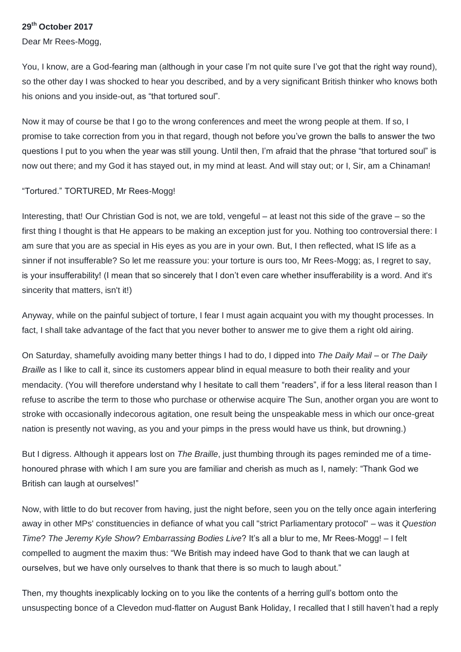## **29th October 2017**

Dear Mr Rees-Mogg,

You, I know, are a God-fearing man (although in your case I'm not quite sure I've got that the right way round), so the other day I was shocked to hear you described, and by a very significant British thinker who knows both his onions and you inside-out, as "that tortured soul".

Now it may of course be that I go to the wrong conferences and meet the wrong people at them. If so, I promise to take correction from you in that regard, though not before you've grown the balls to answer the two questions I put to you when the year was still young. Until then, I'm afraid that the phrase "that tortured soul" is now out there; and my God it has stayed out, in my mind at least. And will stay out; or I, Sir, am a Chinaman!

"Tortured." TORTURED, Mr Rees-Mogg!

Interesting, that! Our Christian God is not, we are told, vengeful – at least not this side of the grave – so the first thing I thought is that He appears to be making an exception just for you. Nothing too controversial there: I am sure that you are as special in His eyes as you are in your own. But, I then reflected, what IS life as a sinner if not insufferable? So let me reassure you: your torture is ours too, Mr Rees-Mogg; as, I regret to say, is your insufferability! (I mean that so sincerely that I don't even care whether insufferability is a word. And it's sincerity that matters, isn't it!)

Anyway, while on the painful subject of torture, I fear I must again acquaint you with my thought processes. In fact, I shall take advantage of the fact that you never bother to answer me to give them a right old airing.

On Saturday, shamefully avoiding many better things I had to do, I dipped into *The Daily Mail* – or *The Daily Braille* as I like to call it, since its customers appear blind in equal measure to both their reality and your mendacity. (You will therefore understand why I hesitate to call them "readers", if for a less literal reason than I refuse to ascribe the term to those who purchase or otherwise acquire The Sun, another organ you are wont to stroke with occasionally indecorous agitation, one result being the unspeakable mess in which our once-great nation is presently not waving, as you and your pimps in the press would have us think, but drowning.)

But I digress. Although it appears lost on *The Braille*, just thumbing through its pages reminded me of a timehonoured phrase with which I am sure you are familiar and cherish as much as I, namely: "Thank God we British can laugh at ourselves!"

Now, with little to do but recover from having, just the night before, seen you on the telly once again interfering away in other MPs' constituencies in defiance of what you call "strict Parliamentary protocol" – was it *Question Time*? *The Jeremy Kyle Show*? *Embarrassing Bodies Live*? It's all a blur to me, Mr Rees-Mogg! – I felt compelled to augment the maxim thus: "We British may indeed have God to thank that we can laugh at ourselves, but we have only ourselves to thank that there is so much to laugh about."

Then, my thoughts inexplicably locking on to you like the contents of a herring gull's bottom onto the unsuspecting bonce of a Clevedon mud-flatter on August Bank Holiday, I recalled that I still haven't had a reply